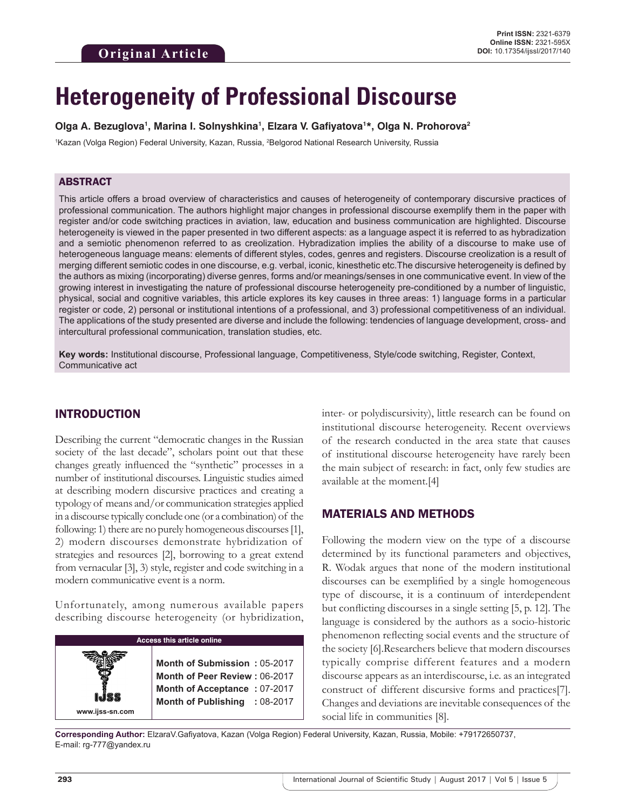# **Heterogeneity of Professional Discourse**

#### **Olga A. Bezuglova1 , Marina I. Solnyshkina1 , Elzara V. Gafiyatova1 \*, Olga N. Prohorova2**

<sup>1</sup>Kazan (Volga Region) Federal University, Kazan, Russia, <sup>2</sup>Belgorod National Research University, Russia

## ABSTRACT

This article offers a broad overview of characteristics and causes of heterogeneity of contemporary discursive practices of professional communication. The authors highlight major changes in professional discourse exemplify them in the paper with register and/or code switching practices in aviation, law, education and business communication are highlighted. Discourse heterogeneity is viewed in the paper presented in two different aspects: as a language aspect it is referred to as hybradization and a semiotic phenomenon referred to as creolization. Hybradization implies the ability of a discourse to make use of heterogeneous language means: elements of different styles, codes, genres and registers. Discourse creolization is a result of merging different semiotic codes in one discourse, e.g. verbal, iconic, kinesthetic etc.The discursive heterogeneity is defined by the authors as mixing (incorporating) diverse genres, forms and/or meanings/senses in one communicative event. In view of the growing interest in investigating the nature of professional discourse heterogeneity pre-conditioned by a number of linguistic, physical, social and cognitive variables, this article explores its key causes in three areas: 1) language forms in a particular register or code, 2) personal or institutional intentions of a professional, and 3) professional competitiveness of an individual. The applications of the study presented are diverse and include the following: tendencies of language development, cross- and intercultural professional communication, translation studies, etc.

**Key words:** Institutional discourse, Professional language, Competitiveness, Style/code switching, Register, Context, Communicative act

## INTRODUCTION

Describing the current "democratic changes in the Russian society of the last decade", scholars point out that these changes greatly influenced the "synthetic" processes in a number of institutional discourses. Linguistic studies aimed at describing modern discursive practices and creating a typology of means and/or communication strategies applied in a discourse typically conclude one (or a combination) of the following: 1) there are no purely homogeneous discourses[1], 2) modern discourses demonstrate hybridization of strategies and resources [2], borrowing to a great extend from vernacular [3], 3) style, register and code switching in a modern communicative event is a norm.

Unfortunately, among numerous available papers describing discourse heterogeneity (or hybridization,

| <b>Access this article online</b> |                                                                                                                                |  |  |  |
|-----------------------------------|--------------------------------------------------------------------------------------------------------------------------------|--|--|--|
| www.ijss-sn.com                   | Month of Submission: 05-2017<br>Month of Peer Review: 06-2017<br>Month of Acceptance: 07-2017<br>Month of Publishing : 08-2017 |  |  |  |

inter- or polydiscursivity), little research can be found on institutional discourse heterogeneity. Recent overviews of the research conducted in the area state that causes of institutional discourse heterogeneity have rarely been the main subject of research: in fact, only few studies are available at the moment.[4]

## MATERIALS AND METHODS

Following the modern view on the type of a discourse determined by its functional parameters and objectives, R. Wodak argues that none of the modern institutional discourses can be exemplified by a single homogeneous type of discourse, it is a continuum of interdependent but conflicting discourses in a single setting [5, p. 12]. The language is considered by the authors as a socio-historic phenomenon reflecting social events and the structure of the society [6].Researchers believe that modern discourses typically comprise different features and a modern discourse appears as an interdiscourse, i.e. as an integrated construct of different discursive forms and practices[7]. Changes and deviations are inevitable consequences of the social life in communities [8].

**Corresponding Author:** ElzaraV.Gafiyatova, Kazan (Volga Region) Federal University, Kazan, Russia, Mobile: +79172650737, E-mail: rg-777@yandex.ru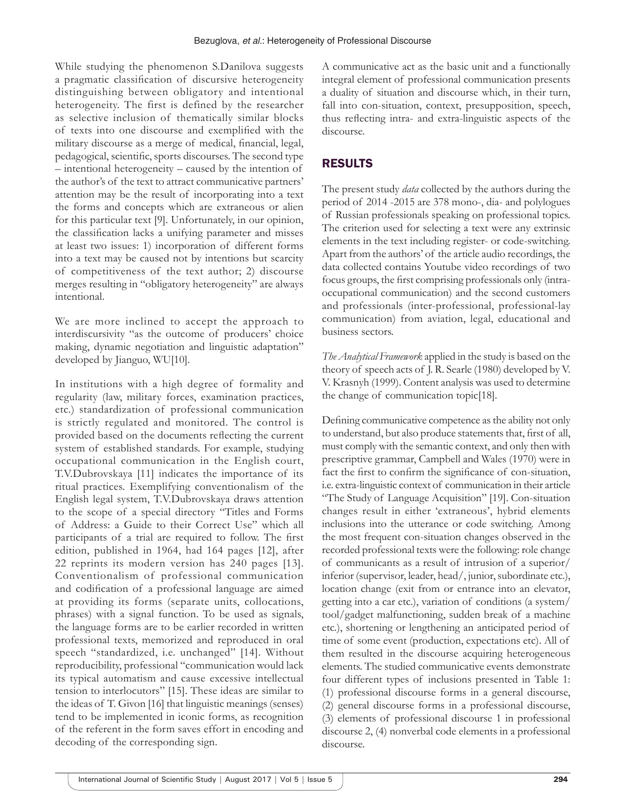While studying the phenomenon S.Danilova suggests a pragmatic classification of discursive heterogeneity distinguishing between obligatory and intentional heterogeneity. The first is defined by the researcher as selective inclusion of thematically similar blocks of texts into one discourse and exemplified with the military discourse as a merge of medical, financial, legal, pedagogical, scientific, sports discourses. The second type – intentional heterogeneity – caused by the intention of the author's of the text to attract communicative partners' attention may be the result of incorporating into a text the forms and concepts which are extraneous or alien for this particular text [9]. Unfortunately, in our opinion, the classification lacks a unifying parameter and misses at least two issues: 1) incorporation of different forms into a text may be caused not by intentions but scarcity of competitiveness of the text author; 2) discourse merges resulting in "obligatory heterogeneity" are always intentional.

We are more inclined to accept the approach to interdiscursivity "as the outcome of producers' choice making, dynamic negotiation and linguistic adaptation" developed by Jianguo, WU[10].

In institutions with a high degree of formality and regularity (law, military forces, examination practices, etc.) standardization of professional communication is strictly regulated and monitored. The control is provided based on the documents reflecting the current system of established standards. For example, studying occupational communication in the English court, T.V.Dubrovskaya [11] indicates the importance of its ritual practices. Exemplifying conventionalism of the English legal system, T.V.Dubrovskaya draws attention to the scope of a special directory "Titles and Forms of Address: a Guide to their Correct Use" which all participants of a trial are required to follow. The first edition, published in 1964, had 164 pages [12], after 22 reprints its modern version has 240 pages [13]. Conventionalism of professional communication and codification of a professional language are aimed at providing its forms (separate units, collocations, phrases) with a signal function. To be used as signals, the language forms are to be earlier recorded in written professional texts, memorized and reproduced in oral speech "standardized, i.e. unchanged" [14]. Without reproducibility, professional "communication would lack its typical automatism and cause excessive intellectual tension to interlocutors" [15]. These ideas are similar to the ideas of T. Givon [16] that linguistic meanings (senses) tend to be implemented in iconic forms, as recognition of the referent in the form saves effort in encoding and decoding of the corresponding sign.

A communicative act as the basic unit and a functionally integral element of professional communication presents a duality of situation and discourse which, in their turn, fall into con-situation, context, presupposition, speech, thus reflecting intra- and extra-linguistic aspects of the discourse.

# RESULTS

The present study *data* collected by the authors during the period of 2014 -2015 are 378 mono-, dia- and polylogues of Russian professionals speaking on professional topics. The criterion used for selecting a text were any extrinsic elements in the text including register- or code-switching. Apart from the authors' of the article audio recordings, the data collected contains Youtube video recordings of two focus groups, the first comprising professionals only (intraoccupational communication) and the second customers and professionals (inter-professional, professional-lay communication) from aviation, legal, educational and business sectors.

*The Analytical Framework* applied in the study is based on the theory of speech acts of J. R. Searle (1980) developed by V. V. Krasnyh (1999). Content analysis was used to determine the change of communication topic[18].

Defining communicative competence as the ability not only to understand, but also produce statements that, first of all, must comply with the semantic context, and only then with prescriptive grammar, Campbell and Wales (1970) were in fact the first to confirm the significance of con-situation, i.e. extra-linguistic context of communication in their article "The Study of Language Acquisition" [19]. Con-situation changes result in either 'extraneous', hybrid elements inclusions into the utterance or code switching. Among the most frequent con-situation changes observed in the recorded professional texts were the following: role change of communicants as a result of intrusion of a superior/ inferior (supervisor, leader, head/, junior, subordinate etc.), location change (exit from or entrance into an elevator, getting into a car etc.), variation of conditions (a system/ tool/gadget malfunctioning, sudden break of a machine etc.), shortening or lengthening an anticipated period of time of some event (production, expectations etc). All of them resulted in the discourse acquiring heterogeneous elements. The studied communicative events demonstrate four different types of inclusions presented in Table 1: (1) professional discourse forms in a general discourse, (2) general discourse forms in a professional discourse, (3) elements of professional discourse 1 in professional discourse 2, (4) nonverbal code elements in a professional discourse.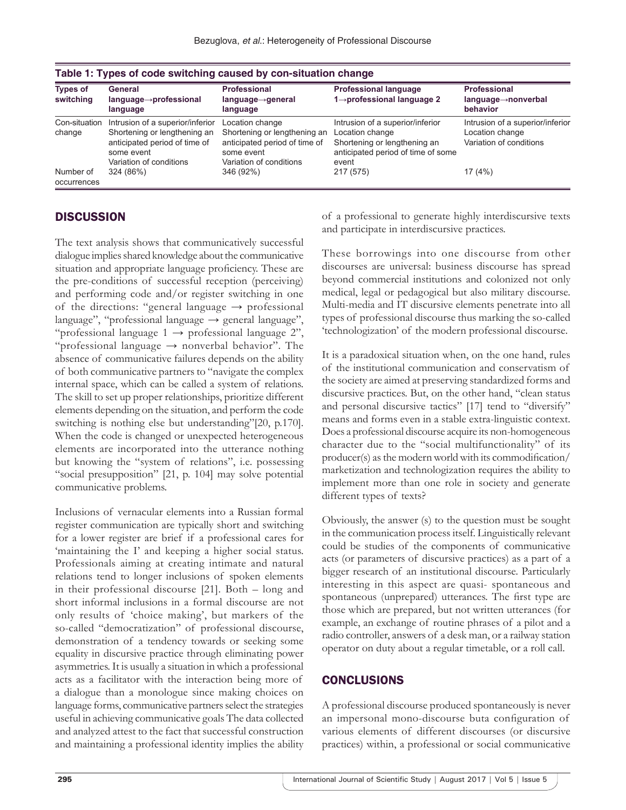| <b>Types of</b><br>switching | General<br>$language \rightarrow professional$<br>language                                                                                 | <b>Professional</b><br>$language \rightarrow general$<br>language                                                         | <b>Professional language</b><br>1→professional language 2                                                                          | <b>Professional</b><br>$language \rightarrow nonverbal$<br>behavior            |
|------------------------------|--------------------------------------------------------------------------------------------------------------------------------------------|---------------------------------------------------------------------------------------------------------------------------|------------------------------------------------------------------------------------------------------------------------------------|--------------------------------------------------------------------------------|
| Con-situation<br>change      | Intrusion of a superior/inferior<br>Shortening or lengthening an<br>anticipated period of time of<br>some event<br>Variation of conditions | Location change<br>Shortening or lengthening an<br>anticipated period of time of<br>some event<br>Variation of conditions | Intrusion of a superior/inferior<br>Location change<br>Shortening or lengthening an<br>anticipated period of time of some<br>event | Intrusion of a superior/inferior<br>Location change<br>Variation of conditions |
| Number of<br>occurrences     | 324 (86%)                                                                                                                                  | 346 (92%)                                                                                                                 | 217 (575)                                                                                                                          | 17 (4%)                                                                        |

## **DISCUSSION**

The text analysis shows that communicatively successful dialogue implies shared knowledge about the communicative situation and appropriate language proficiency. These are the pre-conditions of successful reception (perceiving) and performing code and/or register switching in one of the directions: "general language  $\rightarrow$  professional language", "professional language  $\rightarrow$  general language", "professional language  $1 \rightarrow$  professional language 2", "professional language  $\rightarrow$  nonverbal behavior". The absence of communicative failures depends on the ability of both communicative partners to "navigate the complex internal space, which can be called a system of relations. The skill to set up proper relationships, prioritize different elements depending on the situation, and perform the code switching is nothing else but understanding"[20, p.170]. When the code is changed or unexpected heterogeneous elements are incorporated into the utterance nothing but knowing the "system of relations", i.e. possessing "social presupposition" [21, p. 104] may solve potential communicative problems.

Inclusions of vernacular elements into a Russian formal register communication are typically short and switching for a lower register are brief if a professional cares for 'maintaining the I' and keeping a higher social status. Professionals aiming at creating intimate and natural relations tend to longer inclusions of spoken elements in their professional discourse [21]. Both – long and short informal inclusions in a formal discourse are not only results of 'choice making', but markers of the so-called "democratization" of professional discourse, demonstration of a tendency towards or seeking some equality in discursive practice through eliminating power asymmetries. It is usually a situation in which a professional acts as a facilitator with the interaction being more of a dialogue than a monologue since making choices on language forms, communicative partners select the strategies useful in achieving communicative goals The data collected and analyzed attest to the fact that successful construction and maintaining a professional identity implies the ability

of a professional to generate highly interdiscursive texts and participate in interdiscursive practices.

These borrowings into one discourse from other discourses are universal: business discourse has spread beyond commercial institutions and colonized not only medical, legal or pedagogical but also military discourse. Multi-media and IT discursive elements penetrate into all types of professional discourse thus marking the so-called 'technologization' of the modern professional discourse.

It is a paradoxical situation when, on the one hand, rules of the institutional communication and conservatism of the society are aimed at preserving standardized forms and discursive practices. But, on the other hand, "clean status and personal discursive tactics" [17] tend to "diversify" means and forms even in a stable extra-linguistic context. Does a professional discourse acquire its non-homogeneous character due to the "social multifunctionality" of its producer(s) as the modern world with its commodification/ marketization and technologization requires the ability to implement more than one role in society and generate different types of texts?

Obviously, the answer (s) to the question must be sought in the communication process itself. Linguistically relevant could be studies of the components of communicative acts (or parameters of discursive practices) as a part of a bigger research of an institutional discourse. Particularly interesting in this aspect are quasi- spontaneous and spontaneous (unprepared) utterances. The first type are those which are prepared, but not written utterances (for example, an exchange of routine phrases of a pilot and a radio controller, answers of a desk man, or a railway station operator on duty about a regular timetable, or a roll call.

## **CONCLUSIONS**

A professional discourse produced spontaneously is never an impersonal mono-discourse buta configuration of various elements of different discourses (or discursive practices) within, a professional or social communicative